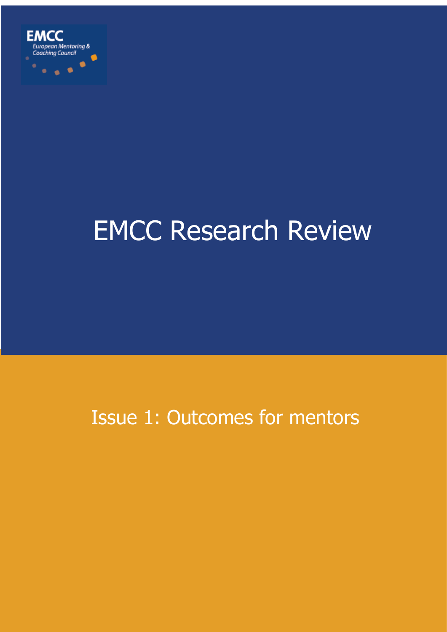

# EMCC Research Review

# Issue 1: Outcomes for mentors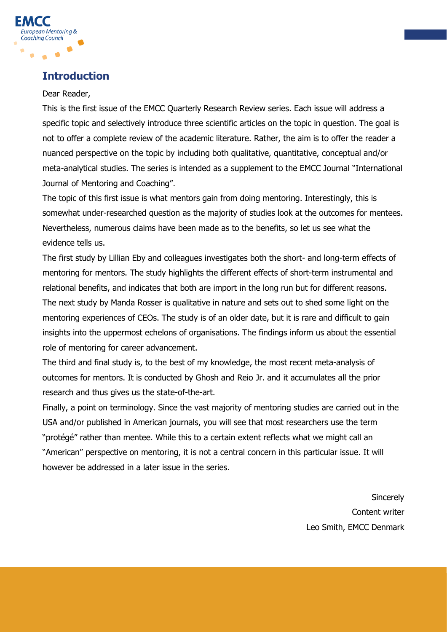

## **Introduction**

#### Dear Reader,

This is the first issue of the EMCC Quarterly Research Review series. Each issue will address a specific topic and selectively introduce three scientific articles on the topic in question. The goal is not to offer a complete review of the academic literature. Rather, the aim is to offer the reader a nuanced perspective on the topic by including both qualitative, quantitative, conceptual and/or meta-analytical studies. The series is intended as a supplement to the EMCC Journal "International Journal of Mentoring and Coaching".

The topic of this first issue is what mentors gain from doing mentoring. Interestingly, this is somewhat under-researched question as the majority of studies look at the outcomes for mentees. Nevertheless, numerous claims have been made as to the benefits, so let us see what the evidence tells us.

The first study by Lillian Eby and colleagues investigates both the short- and long-term effects of mentoring for mentors. The study highlights the different effects of short-term instrumental and relational benefits, and indicates that both are import in the long run but for different reasons. The next study by Manda Rosser is qualitative in nature and sets out to shed some light on the mentoring experiences of CEOs. The study is of an older date, but it is rare and difficult to gain insights into the uppermost echelons of organisations. The findings inform us about the essential role of mentoring for career advancement.

The third and final study is, to the best of my knowledge, the most recent meta-analysis of outcomes for mentors. It is conducted by Ghosh and Reio Jr. and it accumulates all the prior research and thus gives us the state-of-the-art.

Finally, a point on terminology. Since the vast majority of mentoring studies are carried out in the USA and/or published in American journals, you will see that most researchers use the term "protégé" rather than mentee. While this to a certain extent reflects what we might call an "American" perspective on mentoring, it is not a central concern in this particular issue. It will however be addressed in a later issue in the series.

> **Sincerely** Content writer Leo Smith, EMCC Denmark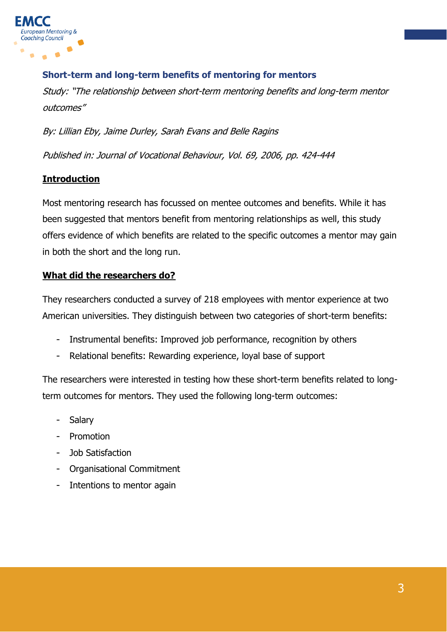

#### **Short-term and long-term benefits of mentoring for mentors**

Study: "The relationship between short-term mentoring benefits and long-term mentor outcomes"

By: Lillian Eby, Jaime Durley, Sarah Evans and Belle Ragins

Published in: Journal of Vocational Behaviour, Vol. 69, 2006, pp. 424-444

#### **Introduction**

Most mentoring research has focussed on mentee outcomes and benefits. While it has been suggested that mentors benefit from mentoring relationships as well, this study offers evidence of which benefits are related to the specific outcomes a mentor may gain in both the short and the long run.

#### **What did the researchers do?**

They researchers conducted a survey of 218 employees with mentor experience at two American universities. They distinguish between two categories of short-term benefits:

- Instrumental benefits: Improved job performance, recognition by others
- Relational benefits: Rewarding experience, loyal base of support

The researchers were interested in testing how these short-term benefits related to longterm outcomes for mentors. They used the following long-term outcomes:

- **Salary**
- Promotion
- Job Satisfaction
- Organisational Commitment
- Intentions to mentor again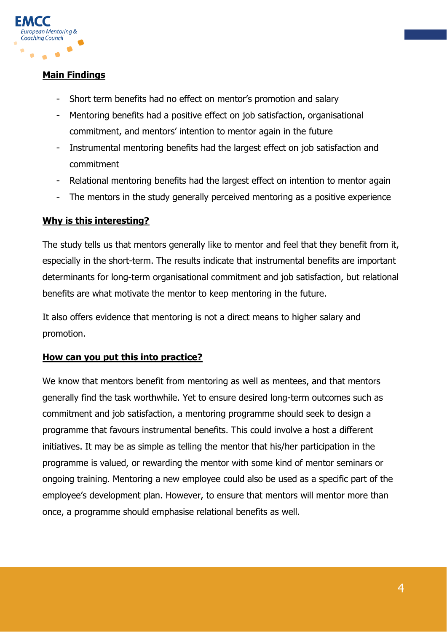

#### **Main Findings**

- Short term benefits had no effect on mentor's promotion and salary
- Mentoring benefits had a positive effect on job satisfaction, organisational commitment, and mentors' intention to mentor again in the future
- Instrumental mentoring benefits had the largest effect on job satisfaction and commitment
- Relational mentoring benefits had the largest effect on intention to mentor again
- The mentors in the study generally perceived mentoring as a positive experience

#### **Why is this interesting?**

The study tells us that mentors generally like to mentor and feel that they benefit from it, especially in the short-term. The results indicate that instrumental benefits are important determinants for long-term organisational commitment and job satisfaction, but relational benefits are what motivate the mentor to keep mentoring in the future.

It also offers evidence that mentoring is not a direct means to higher salary and promotion.

#### **How can you put this into practice?**

We know that mentors benefit from mentoring as well as mentees, and that mentors generally find the task worthwhile. Yet to ensure desired long-term outcomes such as commitment and job satisfaction, a mentoring programme should seek to design a programme that favours instrumental benefits. This could involve a host a different initiatives. It may be as simple as telling the mentor that his/her participation in the programme is valued, or rewarding the mentor with some kind of mentor seminars or ongoing training. Mentoring a new employee could also be used as a specific part of the employee's development plan. However, to ensure that mentors will mentor more than once, a programme should emphasise relational benefits as well.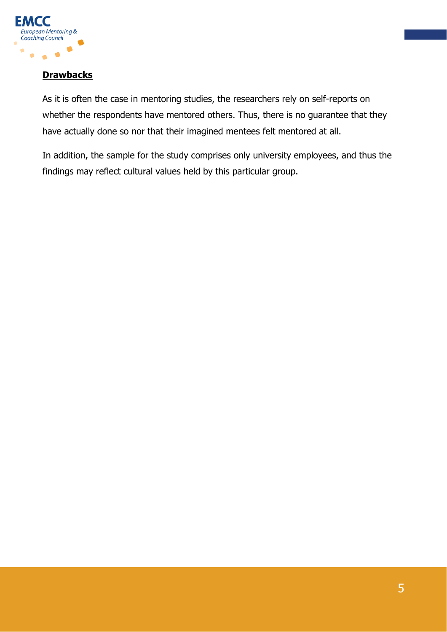

#### **Drawbacks**

As it is often the case in mentoring studies, the researchers rely on self-reports on whether the respondents have mentored others. Thus, there is no guarantee that they have actually done so nor that their imagined mentees felt mentored at all.

In addition, the sample for the study comprises only university employees, and thus the findings may reflect cultural values held by this particular group.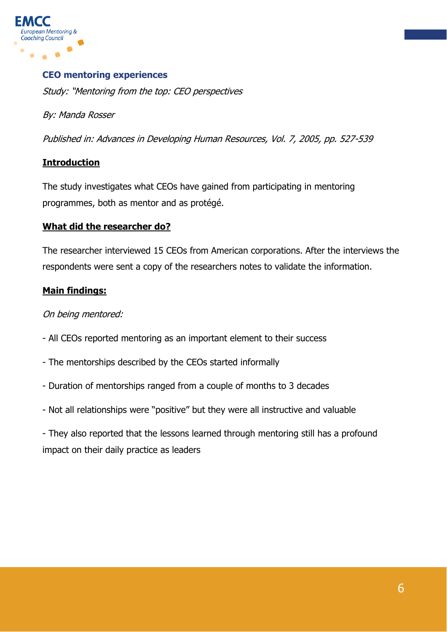

#### **CEO mentoring experiences**

Study: "Mentoring from the top: CEO perspectives

By: Manda Rosser

Published in: Advances in Developing Human Resources, Vol. 7, 2005, pp. 527-539

#### **Introduction**

The study investigates what CEOs have gained from participating in mentoring programmes, both as mentor and as protégé.

#### **What did the researcher do?**

The researcher interviewed 15 CEOs from American corporations. After the interviews the respondents were sent a copy of the researchers notes to validate the information.

#### **Main findings:**

#### On being mentored:

- All CEOs reported mentoring as an important element to their success
- The mentorships described by the CEOs started informally
- Duration of mentorships ranged from a couple of months to 3 decades
- Not all relationships were "positive" but they were all instructive and valuable

- They also reported that the lessons learned through mentoring still has a profound impact on their daily practice as leaders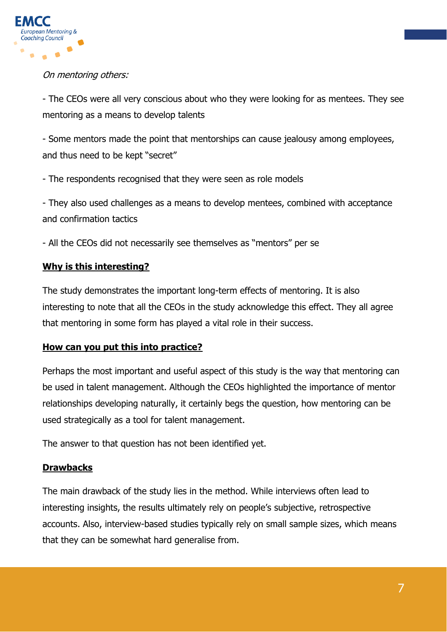

#### On mentoring others:

- The CEOs were all very conscious about who they were looking for as mentees. They see mentoring as a means to develop talents

- Some mentors made the point that mentorships can cause jealousy among employees, and thus need to be kept "secret"

- The respondents recognised that they were seen as role models

- They also used challenges as a means to develop mentees, combined with acceptance and confirmation tactics

- All the CEOs did not necessarily see themselves as "mentors" per se

### **Why is this interesting?**

The study demonstrates the important long-term effects of mentoring. It is also interesting to note that all the CEOs in the study acknowledge this effect. They all agree that mentoring in some form has played a vital role in their success.

#### **How can you put this into practice?**

Perhaps the most important and useful aspect of this study is the way that mentoring can be used in talent management. Although the CEOs highlighted the importance of mentor relationships developing naturally, it certainly begs the question, how mentoring can be used strategically as a tool for talent management.

The answer to that question has not been identified yet.

#### **Drawbacks**

The main drawback of the study lies in the method. While interviews often lead to interesting insights, the results ultimately rely on people's subjective, retrospective accounts. Also, interview-based studies typically rely on small sample sizes, which means that they can be somewhat hard generalise from.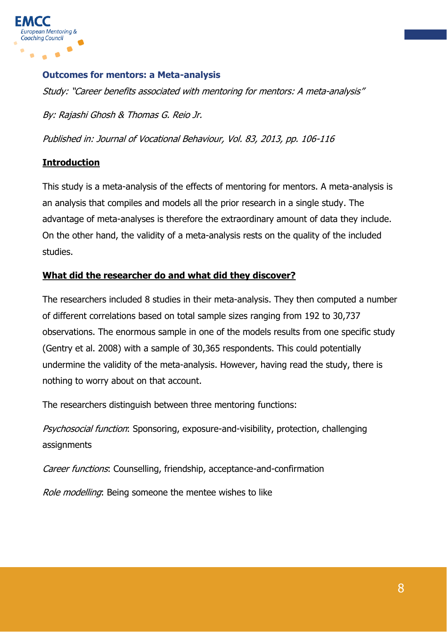

#### **Outcomes for mentors: a Meta-analysis**

Study: "Career benefits associated with mentoring for mentors: A meta-analysis"

By: Rajashi Ghosh & Thomas G. Reio Jr.

Published in: Journal of Vocational Behaviour, Vol. 83, 2013, pp. 106-116

#### **Introduction**

This study is a meta-analysis of the effects of mentoring for mentors. A meta-analysis is an analysis that compiles and models all the prior research in a single study. The advantage of meta-analyses is therefore the extraordinary amount of data they include. On the other hand, the validity of a meta-analysis rests on the quality of the included studies.

#### **What did the researcher do and what did they discover?**

The researchers included 8 studies in their meta-analysis. They then computed a number of different correlations based on total sample sizes ranging from 192 to 30,737 observations. The enormous sample in one of the models results from one specific study (Gentry et al. 2008) with a sample of 30,365 respondents. This could potentially undermine the validity of the meta-analysis. However, having read the study, there is nothing to worry about on that account.

The researchers distinguish between three mentoring functions:

Psychosocial function: Sponsoring, exposure-and-visibility, protection, challenging assignments

Career functions: Counselling, friendship, acceptance-and-confirmation

Role modelling: Being someone the mentee wishes to like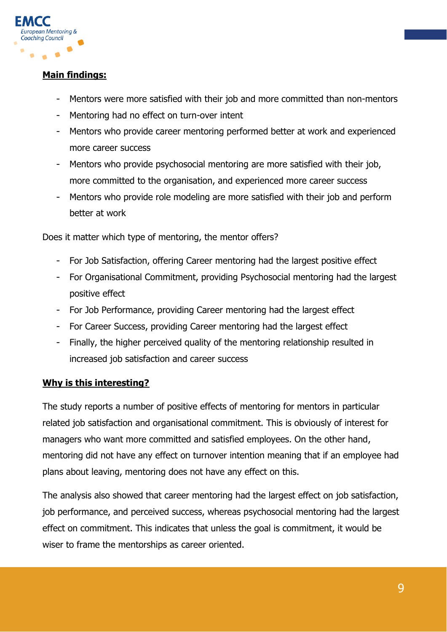

#### **Main findings:**

- Mentors were more satisfied with their job and more committed than non-mentors
- Mentoring had no effect on turn-over intent
- Mentors who provide career mentoring performed better at work and experienced more career success
- Mentors who provide psychosocial mentoring are more satisfied with their job, more committed to the organisation, and experienced more career success
- Mentors who provide role modeling are more satisfied with their job and perform better at work

Does it matter which type of mentoring, the mentor offers?

- For Job Satisfaction, offering Career mentoring had the largest positive effect
- For Organisational Commitment, providing Psychosocial mentoring had the largest positive effect
- For Job Performance, providing Career mentoring had the largest effect
- For Career Success, providing Career mentoring had the largest effect
- Finally, the higher perceived quality of the mentoring relationship resulted in increased job satisfaction and career success

#### **Why is this interesting?**

The study reports a number of positive effects of mentoring for mentors in particular related job satisfaction and organisational commitment. This is obviously of interest for managers who want more committed and satisfied employees. On the other hand, mentoring did not have any effect on turnover intention meaning that if an employee had plans about leaving, mentoring does not have any effect on this.

The analysis also showed that career mentoring had the largest effect on job satisfaction, job performance, and perceived success, whereas psychosocial mentoring had the largest effect on commitment. This indicates that unless the goal is commitment, it would be wiser to frame the mentorships as career oriented.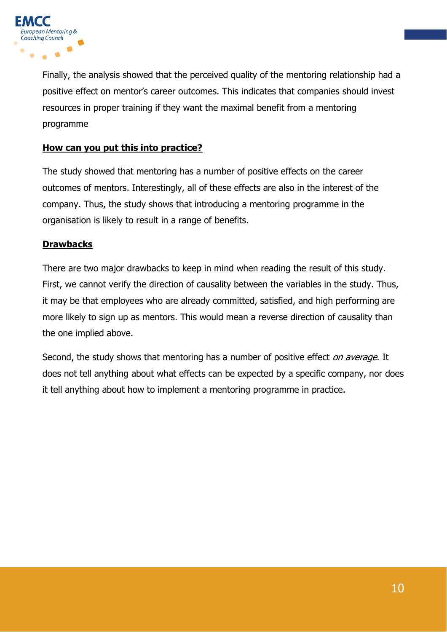

Finally, the analysis showed that the perceived quality of the mentoring relationship had a positive effect on mentor's career outcomes. This indicates that companies should invest resources in proper training if they want the maximal benefit from a mentoring programme

#### **How can you put this into practice?**

The study showed that mentoring has a number of positive effects on the career outcomes of mentors. Interestingly, all of these effects are also in the interest of the company. Thus, the study shows that introducing a mentoring programme in the organisation is likely to result in a range of benefits.

#### **Drawbacks**

There are two major drawbacks to keep in mind when reading the result of this study. First, we cannot verify the direction of causality between the variables in the study. Thus, it may be that employees who are already committed, satisfied, and high performing are more likely to sign up as mentors. This would mean a reverse direction of causality than the one implied above.

Second, the study shows that mentoring has a number of positive effect *on average*. It does not tell anything about what effects can be expected by a specific company, nor does it tell anything about how to implement a mentoring programme in practice.